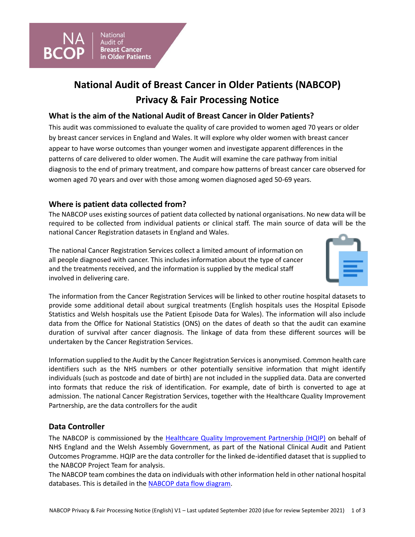

# **National Audit of Breast Cancer in Older Patients (NABCOP) Privacy & Fair Processing Notice**

## **What is the aim of the National Audit of Breast Cancer in Older Patients?**

This audit was commissioned to evaluate the quality of care provided to women aged 70 years or older by breast cancer services in England and Wales. It will explore why older women with breast cancer appear to have worse outcomes than younger women and investigate apparent differences in the patterns of care delivered to older women. The Audit will examine the care pathway from initial diagnosis to the end of primary treatment, and compare how patterns of breast cancer care observed for women aged 70 years and over with those among women diagnosed aged 50-69 years.

## **Where is patient data collected from?**

The NABCOP uses existing sources of patient data collected by national organisations. No new data will be required to be collected from individual patients or clinical staff. The main source of data will be the national Cancer Registration datasets in England and Wales.

The national Cancer Registration Services collect a limited amount of information on all people diagnosed with cancer. This includes information about the type of cancer and the treatments received, and the information is supplied by the medical staff involved in delivering care.



The information from the Cancer Registration Services will be linked to other routine hospital datasets to provide some additional detail about surgical treatments (English hospitals uses the Hospital Episode Statistics and Welsh hospitals use the Patient Episode Data for Wales). The information will also include data from the Office for National Statistics (ONS) on the dates of death so that the audit can examine duration of survival after cancer diagnosis. The linkage of data from these different sources will be undertaken by the Cancer Registration Services.

Information supplied to the Audit by the Cancer Registration Services is anonymised. Common health care identifiers such as the NHS numbers or other potentially sensitive information that might identify individuals (such as postcode and date of birth) are not included in the supplied data. Data are converted into formats that reduce the risk of identification. For example, date of birth is converted to age at admission. The national Cancer Registration Services, together with the Healthcare Quality Improvement Partnership, are the data controllers for the audit

## **Data Controller**

The NABCOP is commissioned by the [Healthcare Quality Improvement Partnership \(HQIP\)](https://www.hqip.org.uk/) on behalf of NHS England and the Welsh Assembly Government, as part of the National Clinical Audit and Patient Outcomes Programme. HQIP are the data controller for the linked de-identified dataset that is supplied to the NABCOP Project Team for analysis.

The NABCOP team combines the data on individuals with other information held in other national hospital databases. This is detailed in the [NABCOP data flow diagram.](https://www.nabcop.org.uk/resources/nabcop-data-flow/)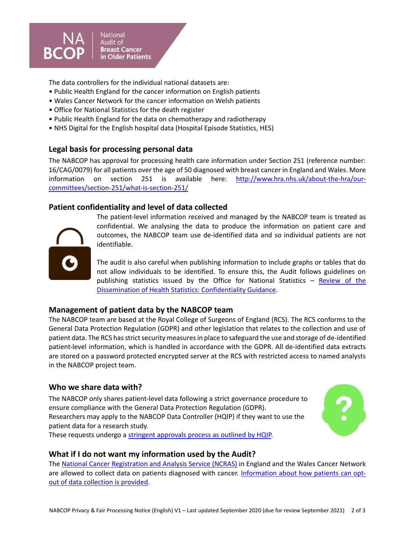

National Audit of **Breast Cancer** in Older Patients

The data controllers for the individual national datasets are:

- Public Health England for the cancer information on English patients
- Wales Cancer Network for the cancer information on Welsh patients
- Office for National Statistics for the death register
- Public Health England for the data on chemotherapy and radiotherapy
- NHS Digital for the English hospital data (Hospital Episode Statistics, HES)

## **Legal basis for processing personal data**

The NABCOP has approval for processing health care information under Section 251 (reference number: 16/CAG/0079) for all patients over the age of 50 diagnosed with breast cancer in England and Wales. More information on section 251 is available here: [http://www.hra.nhs.uk/about-the-hra/our](http://www.hra.nhs.uk/about-the-hra/our-committees/section-251/what-is-section-251/)[committees/section-251/what-is-section-251/](http://www.hra.nhs.uk/about-the-hra/our-committees/section-251/what-is-section-251/)

## **Patient confidentiality and level of data collected**



The patient-level information received and managed by the NABCOP team is treated as confidential. We analysing the data to produce the information on patient care and outcomes, the NABCOP team use de-identified data and so individual patients are not identifiable.

The audit is also careful when publishing information to include graphs or tables that do not allow individuals to be identified. To ensure this, the Audit follows guidelines on publishing statistics issued by the Office for National Statistics – [Review of the](https://www.google.co.uk/url?sa=t&rct=j&q=&esrc=s&source=web&cd=1&ved=0ahUKEwjM7tG3sZnbAhWGORQKHVW4AS8QFggnMAA&url=https%3A%2F%2Fwww.ons.gov.uk%2Ffile%3Furi%3D%2Fmethodology%2Fmethodologytopicsandstatisticalconcepts%2Fdisclosurecontrol%2Fhealthstatistics%2Fconfidentialityguidanctcm77181864.pdf&usg=AOvVaw36ovCQvenLdy4hzb_W_WGU)  [Dissemination of Health Statistics: Confidentiality Guidance.](https://www.google.co.uk/url?sa=t&rct=j&q=&esrc=s&source=web&cd=1&ved=0ahUKEwjM7tG3sZnbAhWGORQKHVW4AS8QFggnMAA&url=https%3A%2F%2Fwww.ons.gov.uk%2Ffile%3Furi%3D%2Fmethodology%2Fmethodologytopicsandstatisticalconcepts%2Fdisclosurecontrol%2Fhealthstatistics%2Fconfidentialityguidanctcm77181864.pdf&usg=AOvVaw36ovCQvenLdy4hzb_W_WGU)

#### **Management of patient data by the NABCOP team**

The NABCOP team are based at the Royal College of Surgeons of England (RCS). The RCS conforms to the General Data Protection Regulation (GDPR) and other legislation that relates to the collection and use of patient data. The RCS has strict security measures in place to safeguard the use and storage of de-identified patient-level information, which is handled in accordance with the GDPR. All de-identified data extracts are stored on a password protected encrypted server at the RCS with restricted access to named analysts in the NABCOP project team.

#### **Who we share data with?**

The NABCOP only shares patient-level data following a strict governance procedure to ensure compliance with the General Data Protection Regulation (GDPR). Researchers may apply to the NABCOP Data Controller (HQIP) if they want to use the patient data for a research study. These requests undergo a [stringent approvals process as outlined by HQIP.](https://www.hqip.org.uk/national-programmes/accessing-ncapop-data/)



#### **What if I do not want my information used by the Audit?**

The [National Cancer Registration and Analysis Service \(NCRAS\)](https://www.ndrs.nhs.uk/) in England and the Wales Cancer Network are allowed to collect data on patients diagnosed with cancer. [Information about how patients can opt](https://www.nabcop.org.uk/resources/information-cancer-registration/)[out of data collection is provided.](https://www.nabcop.org.uk/resources/information-cancer-registration/)